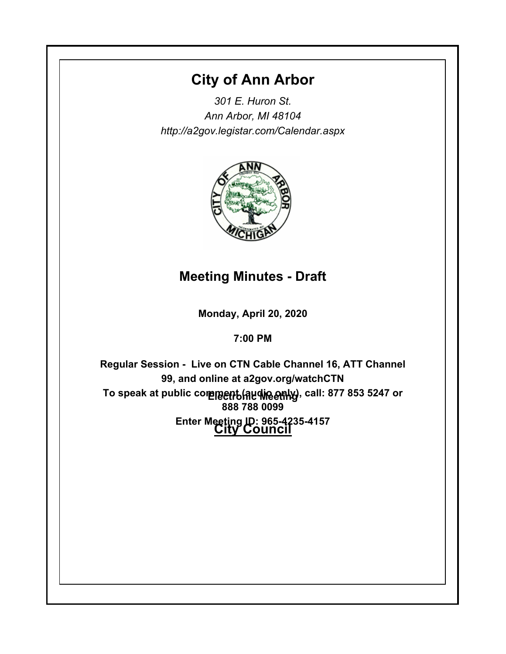# **City of Ann Arbor**

*301 E. Huron St. Ann Arbor, MI 48104 http://a2gov.legistar.com/Calendar.aspx*



# **Meeting Minutes - Draft**

**Monday, April 20, 2020**

**7:00 PM**

To speak at public comme<del>nt (Audine only)</del>, call: 877 853 5247 or **City Council Enter Meeting ID: 965-4235-4157Regular Session - Live on CTN Cable Channel 16, ATT Channel 99, and online at a2gov.org/watchCTN 888 788 0099**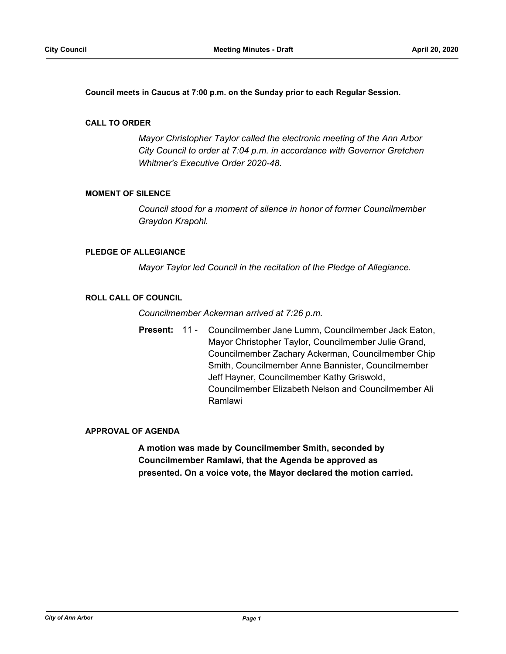**Council meets in Caucus at 7:00 p.m. on the Sunday prior to each Regular Session.**

#### **CALL TO ORDER**

*Mayor Christopher Taylor called the electronic meeting of the Ann Arbor City Council to order at 7:04 p.m. in accordance with Governor Gretchen Whitmer's Executive Order 2020-48.*

#### **MOMENT OF SILENCE**

*Council stood for a moment of silence in honor of former Councilmember Graydon Krapohl.*

### **PLEDGE OF ALLEGIANCE**

*Mayor Taylor led Council in the recitation of the Pledge of Allegiance.*

#### **ROLL CALL OF COUNCIL**

*Councilmember Ackerman arrived at 7:26 p.m.*

Present: 11 - Councilmember Jane Lumm, Councilmember Jack Eaton, Mayor Christopher Taylor, Councilmember Julie Grand, Councilmember Zachary Ackerman, Councilmember Chip Smith, Councilmember Anne Bannister, Councilmember Jeff Hayner, Councilmember Kathy Griswold, Councilmember Elizabeth Nelson and Councilmember Ali Ramlawi

### **APPROVAL OF AGENDA**

**A motion was made by Councilmember Smith, seconded by Councilmember Ramlawi, that the Agenda be approved as presented. On a voice vote, the Mayor declared the motion carried.**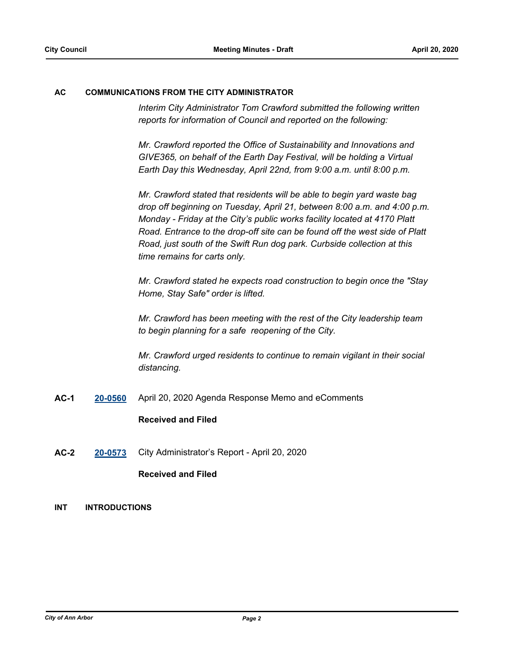#### **AC COMMUNICATIONS FROM THE CITY ADMINISTRATOR**

*Interim City Administrator Tom Crawford submitted the following written reports for information of Council and reported on the following:*

*Mr. Crawford reported the Office of Sustainability and Innovations and GIVE365, on behalf of the Earth Day Festival, will be holding a Virtual Earth Day this Wednesday, April 22nd, from 9:00 a.m. until 8:00 p.m.* 

*Mr. Crawford stated that residents will be able to begin yard waste bag drop off beginning on Tuesday, April 21, between 8:00 a.m. and 4:00 p.m. Monday - Friday at the City's public works facility located at 4170 Platt Road. Entrance to the drop-off site can be found off the west side of Platt Road, just south of the Swift Run dog park. Curbside collection at this time remains for carts only.*

*Mr. Crawford stated he expects road construction to begin once the "Stay Home, Stay Safe" order is lifted.* 

*Mr. Crawford has been meeting with the rest of the City leadership team to begin planning for a safe reopening of the City.* 

*Mr. Crawford urged residents to continue to remain vigilant in their social distancing.*

**AC-1 [20-0560](http://a2gov.legistar.com/gateway.aspx?M=L&ID=24590)** April 20, 2020 Agenda Response Memo and eComments

### **Received and Filed**

**AC-2 [20-0573](http://a2gov.legistar.com/gateway.aspx?M=L&ID=24603)** City Administrator's Report - April 20, 2020

## **Received and Filed**

#### **INT INTRODUCTIONS**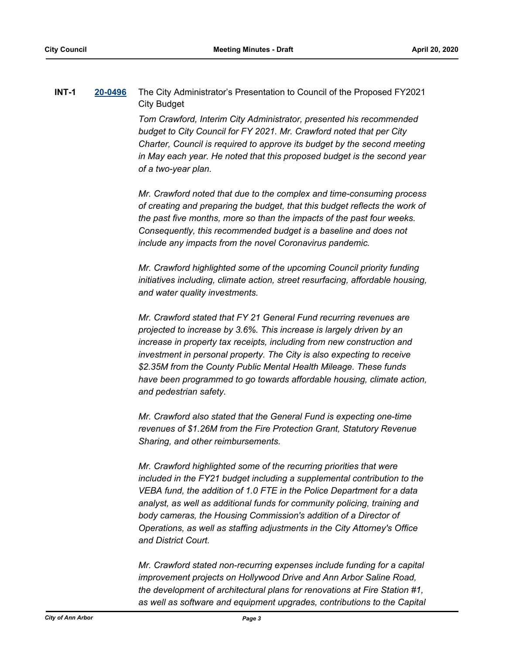## **INT-1 [20-0496](http://a2gov.legistar.com/gateway.aspx?M=L&ID=24526)** The City Administrator's Presentation to Council of the Proposed FY2021 City Budget

*Tom Crawford, Interim City Administrator, presented his recommended budget to City Council for FY 2021. Mr. Crawford noted that per City Charter, Council is required to approve its budget by the second meeting in May each year. He noted that this proposed budget is the second year of a two-year plan.* 

*Mr. Crawford noted that due to the complex and time-consuming process of creating and preparing the budget, that this budget reflects the work of the past five months, more so than the impacts of the past four weeks. Consequently, this recommended budget is a baseline and does not include any impacts from the novel Coronavirus pandemic.*

*Mr. Crawford highlighted some of the upcoming Council priority funding initiatives including, climate action, street resurfacing, affordable housing, and water quality investments.* 

*Mr. Crawford stated that FY 21 General Fund recurring revenues are projected to increase by 3.6%. This increase is largely driven by an increase in property tax receipts, including from new construction and investment in personal property. The City is also expecting to receive \$2.35M from the County Public Mental Health Mileage. These funds have been programmed to go towards affordable housing, climate action, and pedestrian safety.* 

*Mr. Crawford also stated that the General Fund is expecting one-time revenues of \$1.26M from the Fire Protection Grant, Statutory Revenue Sharing, and other reimbursements.* 

*Mr. Crawford highlighted some of the recurring priorities that were included in the FY21 budget including a supplemental contribution to the VEBA fund, the addition of 1.0 FTE in the Police Department for a data analyst, as well as additional funds for community policing, training and body cameras, the Housing Commission's addition of a Director of Operations, as well as staffing adjustments in the City Attorney's Office and District Court.* 

*Mr. Crawford stated non-recurring expenses include funding for a capital improvement projects on Hollywood Drive and Ann Arbor Saline Road, the development of architectural plans for renovations at Fire Station #1, as well as software and equipment upgrades, contributions to the Capital*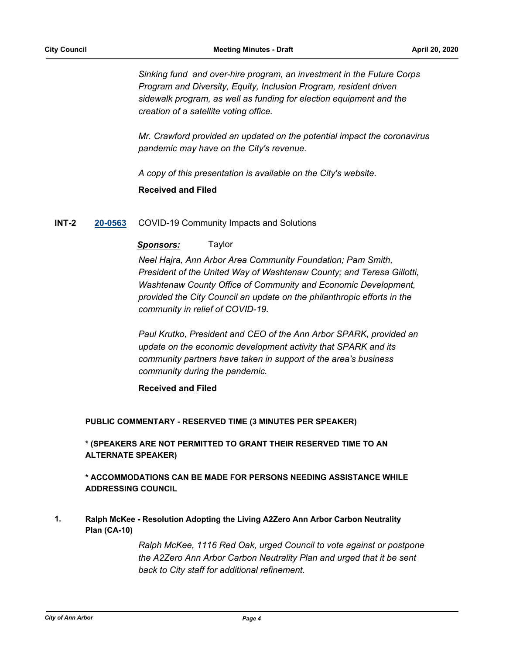*Sinking fund and over-hire program, an investment in the Future Corps Program and Diversity, Equity, Inclusion Program, resident driven sidewalk program, as well as funding for election equipment and the creation of a satellite voting office.*

*Mr. Crawford provided an updated on the potential impact the coronavirus pandemic may have on the City's revenue.* 

*A copy of this presentation is available on the City's website.*

**Received and Filed**

#### **INT-2 [20-0563](http://a2gov.legistar.com/gateway.aspx?M=L&ID=24593)** COVID-19 Community Impacts and Solutions

#### *Sponsors:* Taylor

*Neel Hajra, Ann Arbor Area Community Foundation; Pam Smith, President of the United Way of Washtenaw County; and Teresa Gillotti, Washtenaw County Office of Community and Economic Development, provided the City Council an update on the philanthropic efforts in the community in relief of COVID-19.* 

*Paul Krutko, President and CEO of the Ann Arbor SPARK, provided an update on the economic development activity that SPARK and its community partners have taken in support of the area's business community during the pandemic.*

**Received and Filed**

#### **PUBLIC COMMENTARY - RESERVED TIME (3 MINUTES PER SPEAKER)**

**\* (SPEAKERS ARE NOT PERMITTED TO GRANT THEIR RESERVED TIME TO AN ALTERNATE SPEAKER)**

## **\* ACCOMMODATIONS CAN BE MADE FOR PERSONS NEEDING ASSISTANCE WHILE ADDRESSING COUNCIL**

**Ralph McKee - Resolution Adopting the Living A2Zero Ann Arbor Carbon Neutrality Plan (CA-10) 1.**

> *Ralph McKee, 1116 Red Oak, urged Council to vote against or postpone the A2Zero Ann Arbor Carbon Neutrality Plan and urged that it be sent back to City staff for additional refinement.*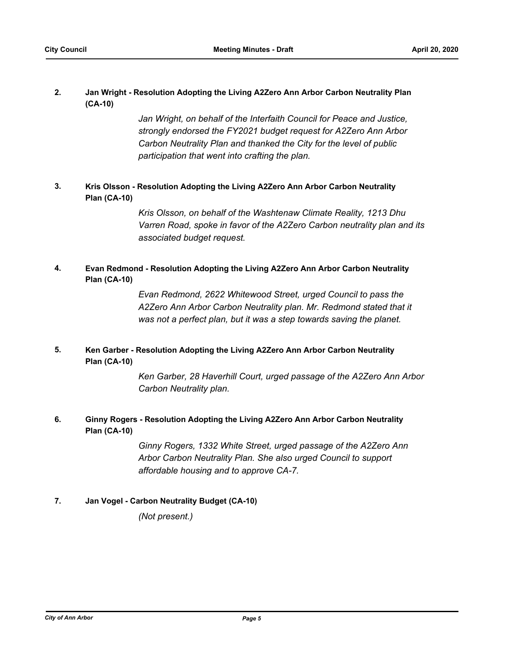#### **Jan Wright - Resolution Adopting the Living A2Zero Ann Arbor Carbon Neutrality Plan (CA-10) 2.**

Jan Wright, on behalf of the Interfaith Council for Peace and Justice, *strongly endorsed the FY2021 budget request for A2Zero Ann Arbor Carbon Neutrality Plan and thanked the City for the level of public participation that went into crafting the plan.*

#### **Kris Olsson - Resolution Adopting the Living A2Zero Ann Arbor Carbon Neutrality Plan (CA-10) 3.**

*Kris Olsson, on behalf of the Washtenaw Climate Reality, 1213 Dhu Varren Road, spoke in favor of the A2Zero Carbon neutrality plan and its associated budget request.*

#### **Evan Redmond - Resolution Adopting the Living A2Zero Ann Arbor Carbon Neutrality Plan (CA-10) 4.**

*Evan Redmond, 2622 Whitewood Street, urged Council to pass the A2Zero Ann Arbor Carbon Neutrality plan. Mr. Redmond stated that it was not a perfect plan, but it was a step towards saving the planet.*

#### **Ken Garber - Resolution Adopting the Living A2Zero Ann Arbor Carbon Neutrality Plan (CA-10) 5.**

*Ken Garber, 28 Haverhill Court, urged passage of the A2Zero Ann Arbor Carbon Neutrality plan.*

#### **Ginny Rogers - Resolution Adopting the Living A2Zero Ann Arbor Carbon Neutrality Plan (CA-10) 6.**

*Ginny Rogers, 1332 White Street, urged passage of the A2Zero Ann Arbor Carbon Neutrality Plan. She also urged Council to support affordable housing and to approve CA-7.*

## **7. Jan Vogel - Carbon Neutrality Budget (CA-10)**

*(Not present.)*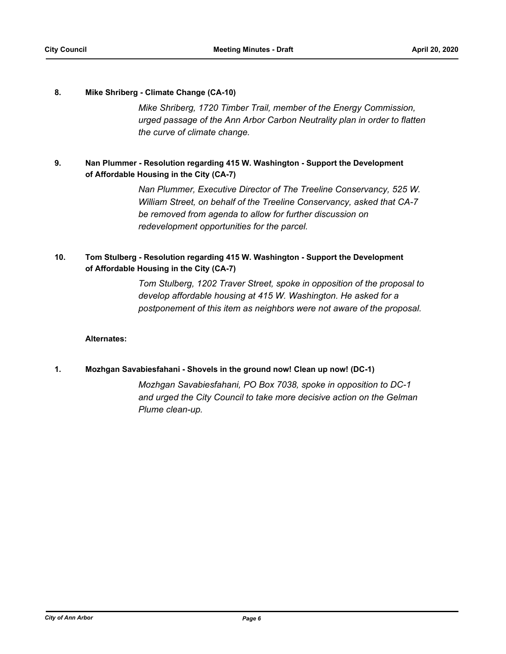#### **8. Mike Shriberg - Climate Change (CA-10)**

*Mike Shriberg, 1720 Timber Trail, member of the Energy Commission, urged passage of the Ann Arbor Carbon Neutrality plan in order to flatten the curve of climate change.*

#### **Nan Plummer - Resolution regarding 415 W. Washington - Support the Development of Affordable Housing in the City (CA-7) 9.**

*Nan Plummer, Executive Director of The Treeline Conservancy, 525 W. William Street, on behalf of the Treeline Conservancy, asked that CA-7 be removed from agenda to allow for further discussion on redevelopment opportunities for the parcel.*

#### **Tom Stulberg - Resolution regarding 415 W. Washington - Support the Development of Affordable Housing in the City (CA-7) 10.**

*Tom Stulberg, 1202 Traver Street, spoke in opposition of the proposal to develop affordable housing at 415 W. Washington. He asked for a postponement of this item as neighbors were not aware of the proposal.*

### **Alternates:**

### **1. Mozhgan Savabiesfahani - Shovels in the ground now! Clean up now! (DC-1)**

*Mozhgan Savabiesfahani, PO Box 7038, spoke in opposition to DC-1 and urged the City Council to take more decisive action on the Gelman Plume clean-up.*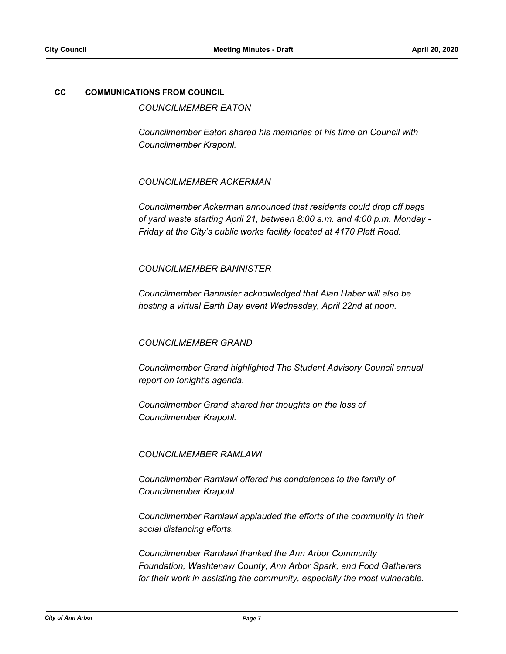#### **CC COMMUNICATIONS FROM COUNCIL**

*COUNCILMEMBER EATON*

*Councilmember Eaton shared his memories of his time on Council with Councilmember Krapohl.*

#### *COUNCILMEMBER ACKERMAN*

*Councilmember Ackerman announced that residents could drop off bags of yard waste starting April 21, between 8:00 a.m. and 4:00 p.m. Monday - Friday at the City's public works facility located at 4170 Platt Road.* 

#### *COUNCILMEMBER BANNISTER*

*Councilmember Bannister acknowledged that Alan Haber will also be hosting a virtual Earth Day event Wednesday, April 22nd at noon.* 

### *COUNCILMEMBER GRAND*

*Councilmember Grand highlighted The Student Advisory Council annual report on tonight's agenda.* 

*Councilmember Grand shared her thoughts on the loss of Councilmember Krapohl.* 

### *COUNCILMEMBER RAMLAWI*

*Councilmember Ramlawi offered his condolences to the family of Councilmember Krapohl.* 

*Councilmember Ramlawi applauded the efforts of the community in their social distancing efforts.* 

*Councilmember Ramlawi thanked the Ann Arbor Community Foundation, Washtenaw County, Ann Arbor Spark, and Food Gatherers for their work in assisting the community, especially the most vulnerable.*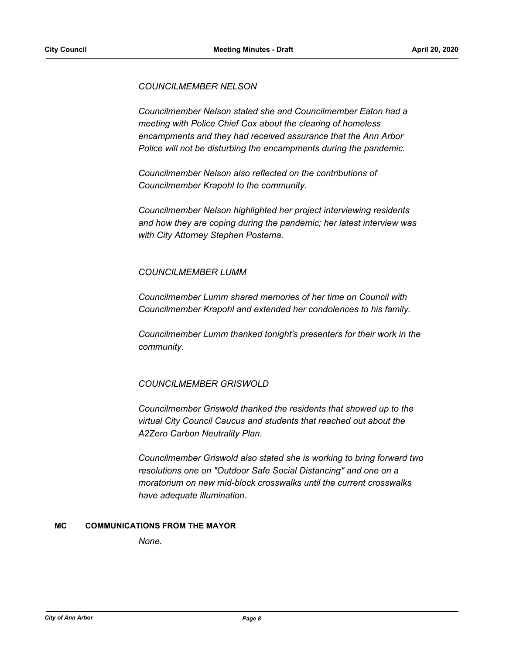*COUNCILMEMBER NELSON*

*Councilmember Nelson stated she and Councilmember Eaton had a meeting with Police Chief Cox about the clearing of homeless encampments and they had received assurance that the Ann Arbor Police will not be disturbing the encampments during the pandemic.* 

*Councilmember Nelson also reflected on the contributions of Councilmember Krapohl to the community.* 

*Councilmember Nelson highlighted her project interviewing residents and how they are coping during the pandemic; her latest interview was with City Attorney Stephen Postema.* 

## *COUNCILMEMBER LUMM*

*Councilmember Lumm shared memories of her time on Council with Councilmember Krapohl and extended her condolences to his family.* 

*Councilmember Lumm thanked tonight's presenters for their work in the community.*

## *COUNCILMEMBER GRISWOLD*

*Councilmember Griswold thanked the residents that showed up to the virtual City Council Caucus and students that reached out about the A2Zero Carbon Neutrality Plan.* 

*Councilmember Griswold also stated she is working to bring forward two resolutions one on "Outdoor Safe Social Distancing" and one on a moratorium on new mid-block crosswalks until the current crosswalks have adequate illumination.*

### **MC COMMUNICATIONS FROM THE MAYOR**

*None.*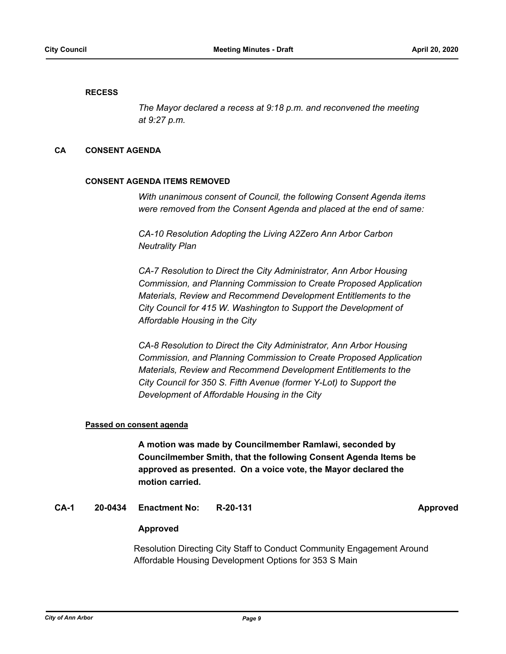#### **RECESS**

*The Mayor declared a recess at 9:18 p.m. and reconvened the meeting at 9:27 p.m.*

#### **CA CONSENT AGENDA**

#### **CONSENT AGENDA ITEMS REMOVED**

*With unanimous consent of Council, the following Consent Agenda items were removed from the Consent Agenda and placed at the end of same:*

*CA-10 Resolution Adopting the Living A2Zero Ann Arbor Carbon Neutrality Plan*

*CA-7 Resolution to Direct the City Administrator, Ann Arbor Housing Commission, and Planning Commission to Create Proposed Application Materials, Review and Recommend Development Entitlements to the City Council for 415 W. Washington to Support the Development of Affordable Housing in the City*

*CA-8 Resolution to Direct the City Administrator, Ann Arbor Housing Commission, and Planning Commission to Create Proposed Application Materials, Review and Recommend Development Entitlements to the City Council for 350 S. Fifth Avenue (former Y-Lot) to Support the Development of Affordable Housing in the City*

#### **Passed on consent agenda**

**A motion was made by Councilmember Ramlawi, seconded by Councilmember Smith, that the following Consent Agenda Items be approved as presented. On a voice vote, the Mayor declared the motion carried.**

#### **CA-1 20-0434 Enactment No: R-20-131 Approved**

### **Approved**

Resolution Directing City Staff to Conduct Community Engagement Around Affordable Housing Development Options for 353 S Main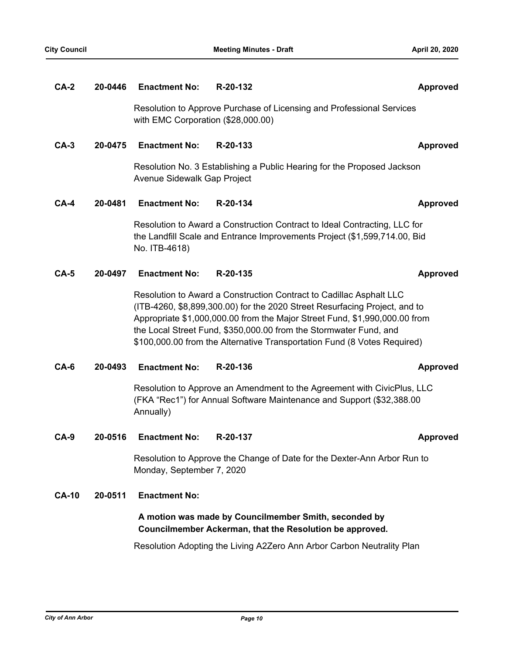| $CA-2$       | 20-0446 | <b>Enactment No:</b>                                                                                                                                                                                                                                                                                                                                                             | R-20-132                                                                                                                                         | <b>Approved</b> |
|--------------|---------|----------------------------------------------------------------------------------------------------------------------------------------------------------------------------------------------------------------------------------------------------------------------------------------------------------------------------------------------------------------------------------|--------------------------------------------------------------------------------------------------------------------------------------------------|-----------------|
|              |         | Resolution to Approve Purchase of Licensing and Professional Services<br>with EMC Corporation (\$28,000.00)                                                                                                                                                                                                                                                                      |                                                                                                                                                  |                 |
| $CA-3$       | 20-0475 | <b>Enactment No:</b>                                                                                                                                                                                                                                                                                                                                                             | R-20-133                                                                                                                                         | <b>Approved</b> |
|              |         | Resolution No. 3 Establishing a Public Hearing for the Proposed Jackson<br>Avenue Sidewalk Gap Project                                                                                                                                                                                                                                                                           |                                                                                                                                                  |                 |
| $CA-4$       | 20-0481 | <b>Enactment No:</b>                                                                                                                                                                                                                                                                                                                                                             | R-20-134                                                                                                                                         | <b>Approved</b> |
|              |         | Resolution to Award a Construction Contract to Ideal Contracting, LLC for<br>the Landfill Scale and Entrance Improvements Project (\$1,599,714.00, Bid<br>No. ITB-4618)                                                                                                                                                                                                          |                                                                                                                                                  |                 |
| $CA-5$       | 20-0497 | <b>Enactment No:</b>                                                                                                                                                                                                                                                                                                                                                             | R-20-135                                                                                                                                         | <b>Approved</b> |
|              |         | Resolution to Award a Construction Contract to Cadillac Asphalt LLC<br>(ITB-4260, \$8,899,300.00) for the 2020 Street Resurfacing Project, and to<br>Appropriate \$1,000,000.00 from the Major Street Fund, \$1,990,000.00 from<br>the Local Street Fund, \$350,000.00 from the Stormwater Fund, and<br>\$100,000.00 from the Alternative Transportation Fund (8 Votes Required) |                                                                                                                                                  |                 |
| $CA-6$       | 20-0493 | <b>Enactment No:</b>                                                                                                                                                                                                                                                                                                                                                             | R-20-136                                                                                                                                         | <b>Approved</b> |
|              |         | Annually)                                                                                                                                                                                                                                                                                                                                                                        | Resolution to Approve an Amendment to the Agreement with CivicPlus, LLC<br>(FKA "Rec1") for Annual Software Maintenance and Support (\$32,388.00 |                 |
| $CA-9$       | 20-0516 | <b>Enactment No:</b>                                                                                                                                                                                                                                                                                                                                                             | R-20-137                                                                                                                                         | <b>Approved</b> |
|              |         | Monday, September 7, 2020                                                                                                                                                                                                                                                                                                                                                        | Resolution to Approve the Change of Date for the Dexter-Ann Arbor Run to                                                                         |                 |
| <b>CA-10</b> | 20-0511 | <b>Enactment No:</b>                                                                                                                                                                                                                                                                                                                                                             |                                                                                                                                                  |                 |
|              |         | A motion was made by Councilmember Smith, seconded by<br>Councilmember Ackerman, that the Resolution be approved.                                                                                                                                                                                                                                                                |                                                                                                                                                  |                 |
|              |         |                                                                                                                                                                                                                                                                                                                                                                                  | Resolution Adopting the Living A2Zero Ann Arbor Carbon Neutrality Plan                                                                           |                 |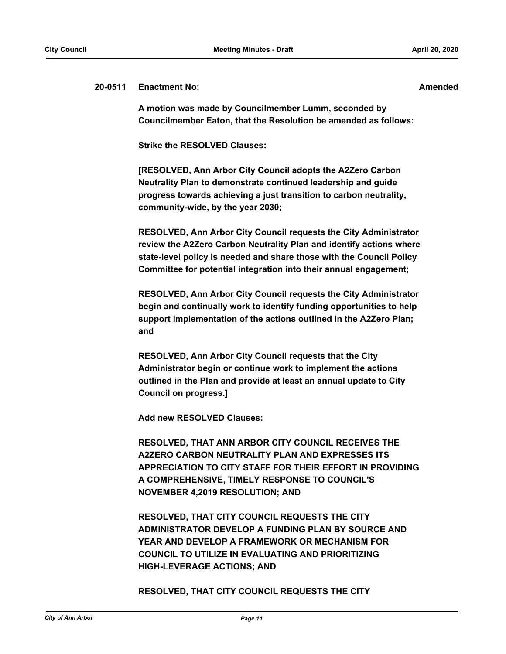#### **20-0511 Enactment No: Amended**

**A motion was made by Councilmember Lumm, seconded by Councilmember Eaton, that the Resolution be amended as follows:**

**Strike the RESOLVED Clauses:**

**[RESOLVED, Ann Arbor City Council adopts the A2Zero Carbon Neutrality Plan to demonstrate continued leadership and guide progress towards achieving a just transition to carbon neutrality, community-wide, by the year 2030;** 

**RESOLVED, Ann Arbor City Council requests the City Administrator review the A2Zero Carbon Neutrality Plan and identify actions where state-level policy is needed and share those with the Council Policy Committee for potential integration into their annual engagement;** 

**RESOLVED, Ann Arbor City Council requests the City Administrator begin and continually work to identify funding opportunities to help support implementation of the actions outlined in the A2Zero Plan; and**

**RESOLVED, Ann Arbor City Council requests that the City Administrator begin or continue work to implement the actions outlined in the Plan and provide at least an annual update to City Council on progress.]**

**Add new RESOLVED Clauses:**

**RESOLVED, THAT ANN ARBOR CITY COUNCIL RECEIVES THE A2ZERO CARBON NEUTRALITY PLAN AND EXPRESSES ITS APPRECIATION TO CITY STAFF FOR THEIR EFFORT IN PROVIDING A COMPREHENSIVE, TIMELY RESPONSE TO COUNCIL'S NOVEMBER 4,2019 RESOLUTION; AND**

**RESOLVED, THAT CITY COUNCIL REQUESTS THE CITY ADMINISTRATOR DEVELOP A FUNDING PLAN BY SOURCE AND YEAR AND DEVELOP A FRAMEWORK OR MECHANISM FOR COUNCIL TO UTILIZE IN EVALUATING AND PRIORITIZING HIGH-LEVERAGE ACTIONS; AND**

**RESOLVED, THAT CITY COUNCIL REQUESTS THE CITY**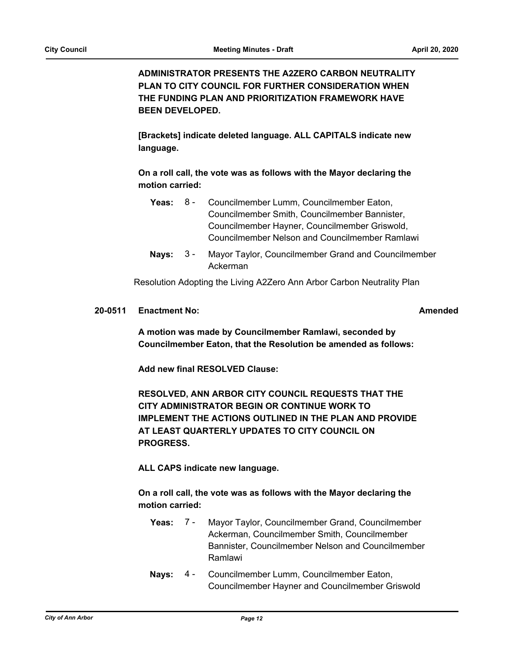**ADMINISTRATOR PRESENTS THE A2ZERO CARBON NEUTRALITY PLAN TO CITY COUNCIL FOR FURTHER CONSIDERATION WHEN THE FUNDING PLAN AND PRIORITIZATION FRAMEWORK HAVE BEEN DEVELOPED.**

**[Brackets] indicate deleted language. ALL CAPITALS indicate new language.** 

**On a roll call, the vote was as follows with the Mayor declaring the motion carried:**

|  | <b>Yeas:</b> 8 - Councilmember Lumm, Councilmember Eaton, |  |  |
|--|-----------------------------------------------------------|--|--|
|  | Councilmember Smith, Councilmember Bannister,             |  |  |
|  | Councilmember Hayner, Councilmember Griswold,             |  |  |
|  | Councilmember Nelson and Councilmember Ramlawi            |  |  |
|  |                                                           |  |  |

Nays: 3 - Mayor Taylor, Councilmember Grand and Councilmember Ackerman  $3 -$ 

Resolution Adopting the Living A2Zero Ann Arbor Carbon Neutrality Plan

#### **20-0511 Enactment No: Amended**

**A motion was made by Councilmember Ramlawi, seconded by Councilmember Eaton, that the Resolution be amended as follows:**

**Add new final RESOLVED Clause:** 

**RESOLVED, ANN ARBOR CITY COUNCIL REQUESTS THAT THE CITY ADMINISTRATOR BEGIN OR CONTINUE WORK TO IMPLEMENT THE ACTIONS OUTLINED IN THE PLAN AND PROVIDE AT LEAST QUARTERLY UPDATES TO CITY COUNCIL ON PROGRESS.**

**ALL CAPS indicate new language.** 

**On a roll call, the vote was as follows with the Mayor declaring the motion carried:**

- **Yeas:** Mayor Taylor, Councilmember Grand, Councilmember Ackerman, Councilmember Smith, Councilmember Bannister, Councilmember Nelson and Councilmember Ramlawi **Yeas: 7 -**
- Nays: 4 Councilmember Lumm, Councilmember Eaton, Councilmember Hayner and Councilmember Griswold  $4 -$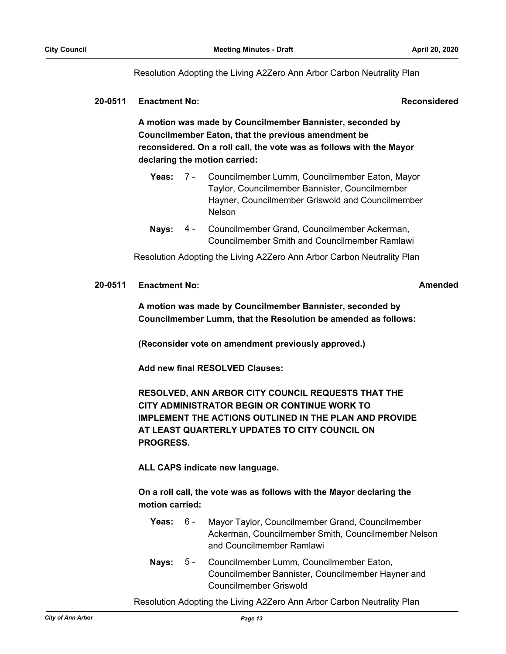Resolution Adopting the Living A2Zero Ann Arbor Carbon Neutrality Plan

#### **20-0511 Enactment No: Reconsidered**

**A motion was made by Councilmember Bannister, seconded by Councilmember Eaton, that the previous amendment be reconsidered. On a roll call, the vote was as follows with the Mayor declaring the motion carried:**

- **Yeas:** Councilmember Lumm, Councilmember Eaton, Mayor Taylor, Councilmember Bannister, Councilmember Hayner, Councilmember Griswold and Councilmember Nelson Yeas:  $7 -$
- Nays: 4 Councilmember Grand, Councilmember Ackerman, Councilmember Smith and Councilmember Ramlawi 4 -

Resolution Adopting the Living A2Zero Ann Arbor Carbon Neutrality Plan

#### **20-0511 Enactment No: Amended**

**A motion was made by Councilmember Bannister, seconded by Councilmember Lumm, that the Resolution be amended as follows:**

**(Reconsider vote on amendment previously approved.)**

**Add new final RESOLVED Clauses:** 

**RESOLVED, ANN ARBOR CITY COUNCIL REQUESTS THAT THE CITY ADMINISTRATOR BEGIN OR CONTINUE WORK TO IMPLEMENT THE ACTIONS OUTLINED IN THE PLAN AND PROVIDE AT LEAST QUARTERLY UPDATES TO CITY COUNCIL ON PROGRESS.**

**ALL CAPS indicate new language.** 

**On a roll call, the vote was as follows with the Mayor declaring the motion carried:**

- Yeas: 6 Mayor Taylor, Councilmember Grand, Councilmember Ackerman, Councilmember Smith, Councilmember Nelson and Councilmember Ramlawi  $6 -$
- Nays: 5 Councilmember Lumm, Councilmember Eaton, Councilmember Bannister, Councilmember Hayner and Councilmember Griswold  $5 -$

Resolution Adopting the Living A2Zero Ann Arbor Carbon Neutrality Plan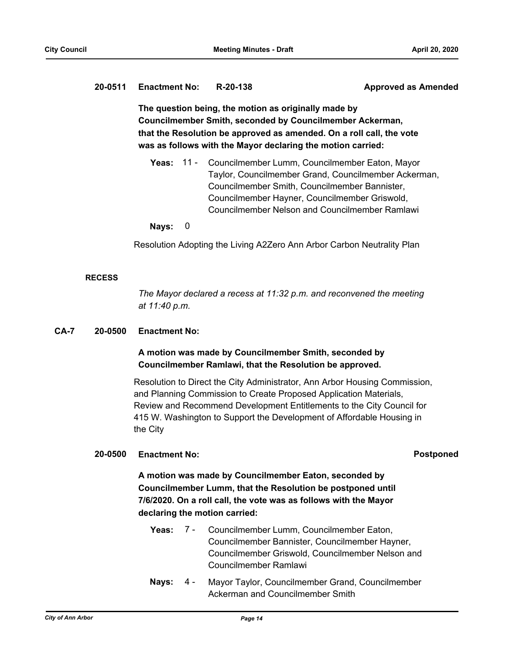### **20-0511 Enactment No: R-20-138 Approved as Amended**

**The question being, the motion as originally made by Councilmember Smith, seconded by Councilmember Ackerman, that the Resolution be approved as amended. On a roll call, the vote was as follows with the Mayor declaring the motion carried:**

**Yeas:** Councilmember Lumm, Councilmember Eaton, Mayor Taylor, Councilmember Grand, Councilmember Ackerman, Councilmember Smith, Councilmember Bannister, Councilmember Hayner, Councilmember Griswold, Councilmember Nelson and Councilmember Ramlawi **Yeas: 11 -**

#### **Nays:** 0

Resolution Adopting the Living A2Zero Ann Arbor Carbon Neutrality Plan

#### **RECESS**

*The Mayor declared a recess at 11:32 p.m. and reconvened the meeting at 11:40 p.m.*

#### **CA-7 20-0500 Enactment No:**

## **A motion was made by Councilmember Smith, seconded by Councilmember Ramlawi, that the Resolution be approved.**

Resolution to Direct the City Administrator, Ann Arbor Housing Commission, and Planning Commission to Create Proposed Application Materials, Review and Recommend Development Entitlements to the City Council for 415 W. Washington to Support the Development of Affordable Housing in the City

## **20-0500 Enactment No: Postponed**

**A motion was made by Councilmember Eaton, seconded by Councilmember Lumm, that the Resolution be postponed until 7/6/2020. On a roll call, the vote was as follows with the Mayor declaring the motion carried:**

- **Yeas:** Councilmember Lumm, Councilmember Eaton, Councilmember Bannister, Councilmember Hayner, Councilmember Griswold, Councilmember Nelson and Councilmember Ramlawi Yeas:  $7 -$
- Nays: 4 Mayor Taylor, Councilmember Grand, Councilmember Ackerman and Councilmember Smith 4 -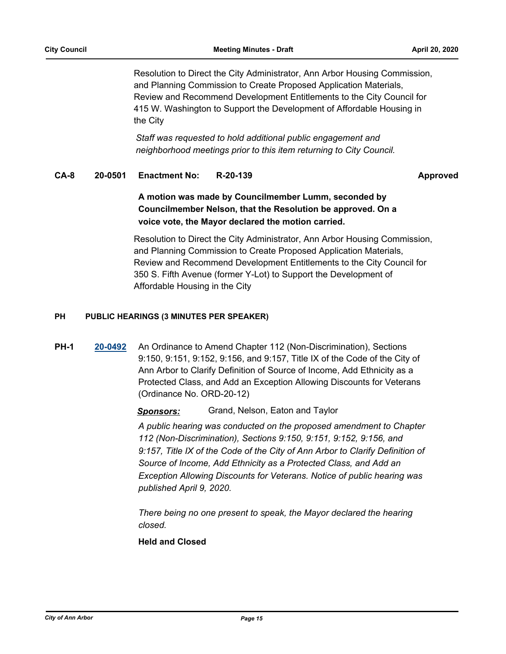Resolution to Direct the City Administrator, Ann Arbor Housing Commission, and Planning Commission to Create Proposed Application Materials, Review and Recommend Development Entitlements to the City Council for 415 W. Washington to Support the Development of Affordable Housing in the City

*Staff was requested to hold additional public engagement and neighborhood meetings prior to this item returning to City Council.*

### **CA-8 20-0501 Enactment No: R-20-139 Approved**

**A motion was made by Councilmember Lumm, seconded by Councilmember Nelson, that the Resolution be approved. On a voice vote, the Mayor declared the motion carried.**

Resolution to Direct the City Administrator, Ann Arbor Housing Commission, and Planning Commission to Create Proposed Application Materials, Review and Recommend Development Entitlements to the City Council for 350 S. Fifth Avenue (former Y-Lot) to Support the Development of Affordable Housing in the City

### **PH PUBLIC HEARINGS (3 MINUTES PER SPEAKER)**

**PH-1 [20-0492](http://a2gov.legistar.com/gateway.aspx?M=L&ID=24522)** An Ordinance to Amend Chapter 112 (Non-Discrimination), Sections 9:150, 9:151, 9:152, 9:156, and 9:157, Title IX of the Code of the City of Ann Arbor to Clarify Definition of Source of Income, Add Ethnicity as a Protected Class, and Add an Exception Allowing Discounts for Veterans (Ordinance No. ORD-20-12)

*Sponsors:* Grand, Nelson, Eaton and Taylor

*A public hearing was conducted on the proposed amendment to Chapter 112 (Non-Discrimination), Sections 9:150, 9:151, 9:152, 9:156, and 9:157, Title IX of the Code of the City of Ann Arbor to Clarify Definition of Source of Income, Add Ethnicity as a Protected Class, and Add an Exception Allowing Discounts for Veterans. Notice of public hearing was published April 9, 2020.* 

*There being no one present to speak, the Mayor declared the hearing closed.*

**Held and Closed**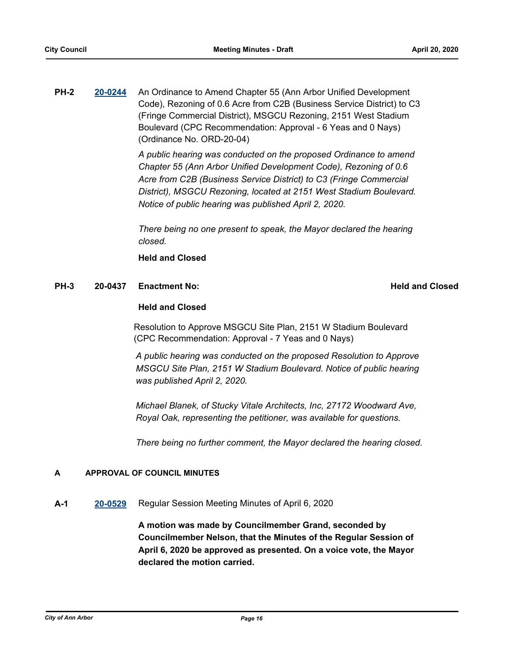**PH-2 [20-0244](http://a2gov.legistar.com/gateway.aspx?M=L&ID=24280)** An Ordinance to Amend Chapter 55 (Ann Arbor Unified Development Code), Rezoning of 0.6 Acre from C2B (Business Service District) to C3 (Fringe Commercial District), MSGCU Rezoning, 2151 West Stadium Boulevard (CPC Recommendation: Approval - 6 Yeas and 0 Nays) (Ordinance No. ORD-20-04)

> *A public hearing was conducted on the proposed Ordinance to amend Chapter 55 (Ann Arbor Unified Development Code), Rezoning of 0.6 Acre from C2B (Business Service District) to C3 (Fringe Commercial District), MSGCU Rezoning, located at 2151 West Stadium Boulevard. Notice of public hearing was published April 2, 2020.*

> *There being no one present to speak, the Mayor declared the hearing closed.*

## **Held and Closed**

## **PH-3 20-0437 Enactment No:** And Conserversity **PH-3 Held and Closed**

### **Held and Closed**

Resolution to Approve MSGCU Site Plan, 2151 W Stadium Boulevard (CPC Recommendation: Approval - 7 Yeas and 0 Nays)

*A public hearing was conducted on the proposed Resolution to Approve MSGCU Site Plan, 2151 W Stadium Boulevard. Notice of public hearing was published April 2, 2020.* 

*Michael Blanek, of Stucky Vitale Architects, Inc, 27172 Woodward Ave, Royal Oak, representing the petitioner, was available for questions.* 

*There being no further comment, the Mayor declared the hearing closed.*

### **A APPROVAL OF COUNCIL MINUTES**

**A-1 [20-0529](http://a2gov.legistar.com/gateway.aspx?M=L&ID=24559)** Regular Session Meeting Minutes of April 6, 2020

**A motion was made by Councilmember Grand, seconded by Councilmember Nelson, that the Minutes of the Regular Session of April 6, 2020 be approved as presented. On a voice vote, the Mayor declared the motion carried.**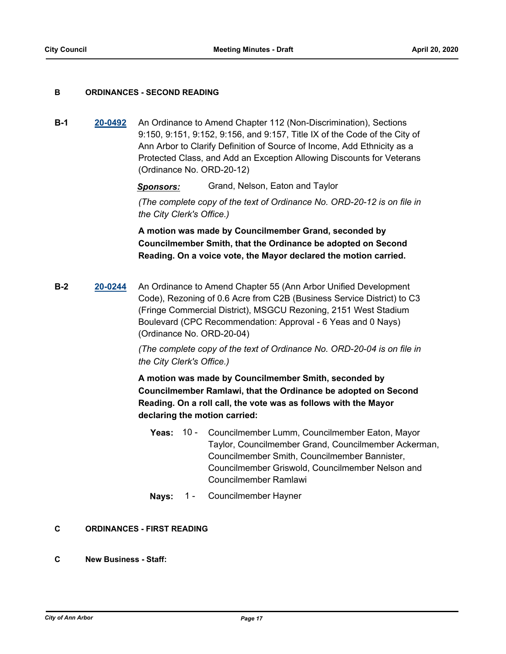#### **B ORDINANCES - SECOND READING**

**B-1 [20-0492](http://a2gov.legistar.com/gateway.aspx?M=L&ID=24522)** An Ordinance to Amend Chapter 112 (Non-Discrimination), Sections 9:150, 9:151, 9:152, 9:156, and 9:157, Title IX of the Code of the City of Ann Arbor to Clarify Definition of Source of Income, Add Ethnicity as a Protected Class, and Add an Exception Allowing Discounts for Veterans (Ordinance No. ORD-20-12)

*Sponsors:* Grand, Nelson, Eaton and Taylor

*(The complete copy of the text of Ordinance No. ORD-20-12 is on file in the City Clerk's Office.)*

**A motion was made by Councilmember Grand, seconded by Councilmember Smith, that the Ordinance be adopted on Second Reading. On a voice vote, the Mayor declared the motion carried.**

**B-2 [20-0244](http://a2gov.legistar.com/gateway.aspx?M=L&ID=24280)** An Ordinance to Amend Chapter 55 (Ann Arbor Unified Development Code), Rezoning of 0.6 Acre from C2B (Business Service District) to C3 (Fringe Commercial District), MSGCU Rezoning, 2151 West Stadium Boulevard (CPC Recommendation: Approval - 6 Yeas and 0 Nays) (Ordinance No. ORD-20-04)

> *(The complete copy of the text of Ordinance No. ORD-20-04 is on file in the City Clerk's Office.)*

> **A motion was made by Councilmember Smith, seconded by Councilmember Ramlawi, that the Ordinance be adopted on Second Reading. On a roll call, the vote was as follows with the Mayor declaring the motion carried:**

- **Yeas:** Councilmember Lumm, Councilmember Eaton, Mayor Taylor, Councilmember Grand, Councilmember Ackerman, Councilmember Smith, Councilmember Bannister, Councilmember Griswold, Councilmember Nelson and Councilmember Ramlawi **Yeas: 10 -**
- **Nays:** 1 Councilmember Hayner

### **C ORDINANCES - FIRST READING**

**C New Business - Staff:**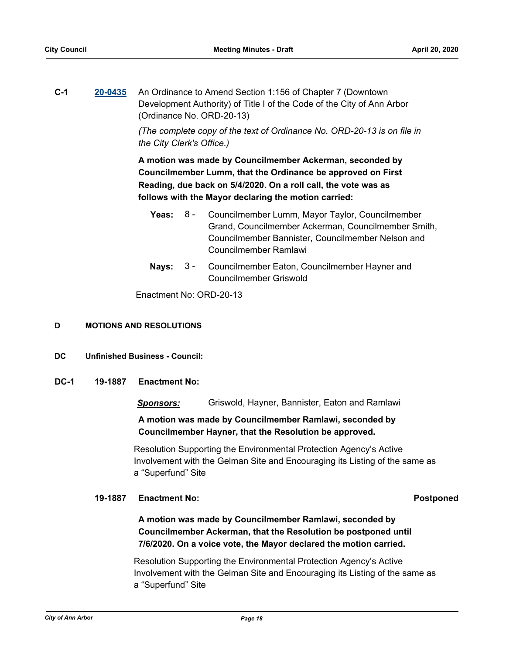**C-1 [20-0435](http://a2gov.legistar.com/gateway.aspx?M=L&ID=24465)** An Ordinance to Amend Section 1:156 of Chapter 7 (Downtown Development Authority) of Title I of the Code of the City of Ann Arbor (Ordinance No. ORD-20-13)

> *(The complete copy of the text of Ordinance No. ORD-20-13 is on file in the City Clerk's Office.)*

**A motion was made by Councilmember Ackerman, seconded by Councilmember Lumm, that the Ordinance be approved on First Reading, due back on 5/4/2020. On a roll call, the vote was as follows with the Mayor declaring the motion carried:**

- **Yeas:** Councilmember Lumm, Mayor Taylor, Councilmember Grand, Councilmember Ackerman, Councilmember Smith, Councilmember Bannister, Councilmember Nelson and Councilmember Ramlawi Yeas:  $8 -$
- **Nays:** Councilmember Eaton, Councilmember Hayner and Councilmember Griswold  $3 -$

Enactment No: ORD-20-13

#### **D MOTIONS AND RESOLUTIONS**

- **DC Unfinished Business Council:**
- **DC-1 19-1887 Enactment No:**

*Sponsors:* Griswold, Hayner, Bannister, Eaton and Ramlawi

## **A motion was made by Councilmember Ramlawi, seconded by Councilmember Hayner, that the Resolution be approved.**

Resolution Supporting the Environmental Protection Agency's Active Involvement with the Gelman Site and Encouraging its Listing of the same as a "Superfund" Site

#### **19-1887 Enactment No: Postponed**

## **A motion was made by Councilmember Ramlawi, seconded by Councilmember Ackerman, that the Resolution be postponed until 7/6/2020. On a voice vote, the Mayor declared the motion carried.**

Resolution Supporting the Environmental Protection Agency's Active Involvement with the Gelman Site and Encouraging its Listing of the same as a "Superfund" Site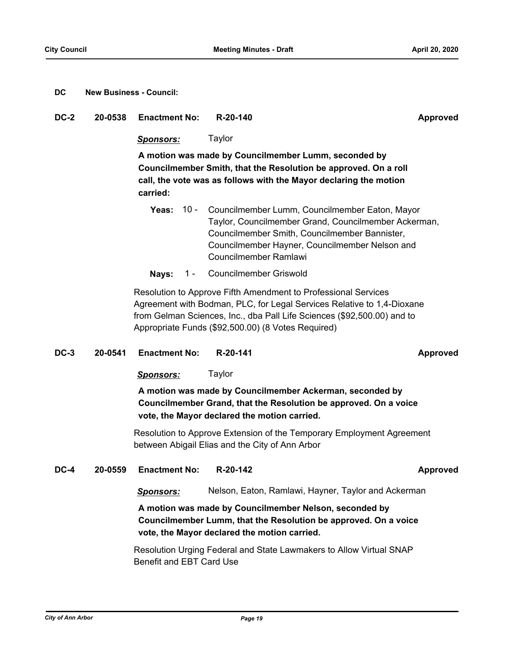#### **DC New Business - Council:**

#### **DC-2 20-0538 Enactment No: R-20-140 Approved**

#### *Sponsors:* Taylor

**A motion was made by Councilmember Lumm, seconded by Councilmember Smith, that the Resolution be approved. On a roll call, the vote was as follows with the Mayor declaring the motion carried:**

- **Yeas:** Councilmember Lumm, Councilmember Eaton, Mayor Taylor, Councilmember Grand, Councilmember Ackerman, Councilmember Smith, Councilmember Bannister, Councilmember Hayner, Councilmember Nelson and Councilmember Ramlawi Yeas:  $10 -$
- **Nays:** 1 Councilmember Griswold

Resolution to Approve Fifth Amendment to Professional Services Agreement with Bodman, PLC, for Legal Services Relative to 1,4-Dioxane from Gelman Sciences, Inc., dba Pall Life Sciences (\$92,500.00) and to Appropriate Funds (\$92,500.00) (8 Votes Required)

#### **DC-3 20-0541 Enactment No: R-20-141 Approved**

*Sponsors:* Taylor

**A motion was made by Councilmember Ackerman, seconded by Councilmember Grand, that the Resolution be approved. On a voice vote, the Mayor declared the motion carried.**

Resolution to Approve Extension of the Temporary Employment Agreement between Abigail Elias and the City of Ann Arbor

#### **DC-4 20-0559 Enactment No: R-20-142 Approved**

#### *Sponsors:* Nelson, Eaton, Ramlawi, Hayner, Taylor and Ackerman

**A motion was made by Councilmember Nelson, seconded by Councilmember Lumm, that the Resolution be approved. On a voice vote, the Mayor declared the motion carried.**

Resolution Urging Federal and State Lawmakers to Allow Virtual SNAP Benefit and EBT Card Use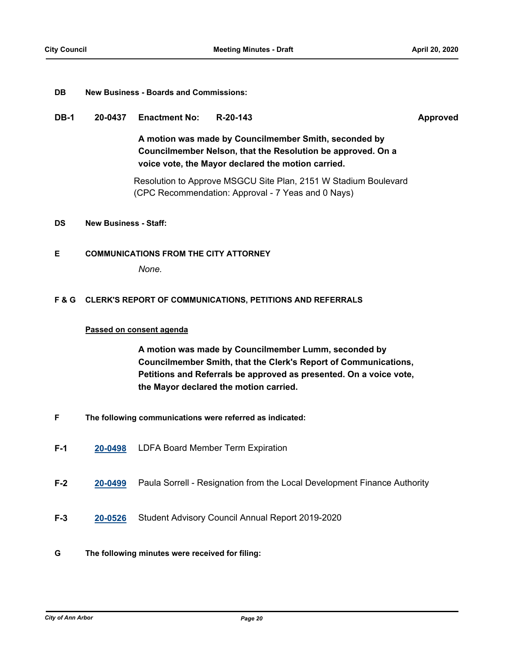#### **DB New Business - Boards and Commissions:**

#### **DB-1 20-0437 Enactment No: R-20-143 Approved**

**A motion was made by Councilmember Smith, seconded by Councilmember Nelson, that the Resolution be approved. On a voice vote, the Mayor declared the motion carried.**

Resolution to Approve MSGCU Site Plan, 2151 W Stadium Boulevard (CPC Recommendation: Approval - 7 Yeas and 0 Nays)

#### **DS New Business - Staff:**

#### **E COMMUNICATIONS FROM THE CITY ATTORNEY**

*None.*

#### **F & G CLERK'S REPORT OF COMMUNICATIONS, PETITIONS AND REFERRALS**

#### **Passed on consent agenda**

**A motion was made by Councilmember Lumm, seconded by Councilmember Smith, that the Clerk's Report of Communications, Petitions and Referrals be approved as presented. On a voice vote, the Mayor declared the motion carried.**

- **F The following communications were referred as indicated:**
- **F-1 [20-0498](http://a2gov.legistar.com/gateway.aspx?M=L&ID=24528)** LDFA Board Member Term Expiration
- **F-2 [20-0499](http://a2gov.legistar.com/gateway.aspx?M=L&ID=24529)** Paula Sorrell Resignation from the Local Development Finance Authority
- **F-3 [20-0526](http://a2gov.legistar.com/gateway.aspx?M=L&ID=24556)** Student Advisory Council Annual Report 2019-2020

#### **G The following minutes were received for filing:**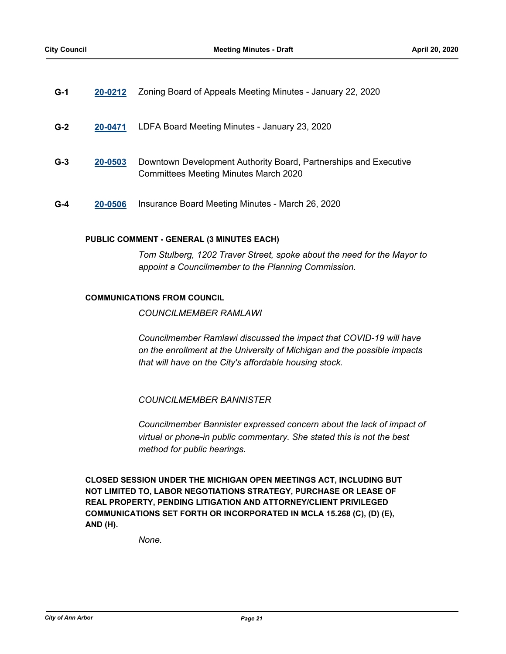| $G-1$ | 20-0212  Zoning Board of Appeals Meeting Minutes - January 22, 2020 |
|-------|---------------------------------------------------------------------|
|       |                                                                     |

- **G-2 [20-0471](http://a2gov.legistar.com/gateway.aspx?M=L&ID=24501)** LDFA Board Meeting Minutes January 23, 2020
- **G-3 [20-0503](http://a2gov.legistar.com/gateway.aspx?M=L&ID=24533)** Downtown Development Authority Board, Partnerships and Executive Committees Meeting Minutes March 2020
- **G-4 [20-0506](http://a2gov.legistar.com/gateway.aspx?M=L&ID=24536)** Insurance Board Meeting Minutes March 26, 2020

#### **PUBLIC COMMENT - GENERAL (3 MINUTES EACH)**

*Tom Stulberg, 1202 Traver Street, spoke about the need for the Mayor to appoint a Councilmember to the Planning Commission.*

#### **COMMUNICATIONS FROM COUNCIL**

*COUNCILMEMBER RAMLAWI* 

*Councilmember Ramlawi discussed the impact that COVID-19 will have on the enrollment at the University of Michigan and the possible impacts that will have on the City's affordable housing stock.* 

*COUNCILMEMBER BANNISTER* 

*Councilmember Bannister expressed concern about the lack of impact of virtual or phone-in public commentary. She stated this is not the best method for public hearings.*

**CLOSED SESSION UNDER THE MICHIGAN OPEN MEETINGS ACT, INCLUDING BUT NOT LIMITED TO, LABOR NEGOTIATIONS STRATEGY, PURCHASE OR LEASE OF REAL PROPERTY, PENDING LITIGATION AND ATTORNEY/CLIENT PRIVILEGED COMMUNICATIONS SET FORTH OR INCORPORATED IN MCLA 15.268 (C), (D) (E), AND (H).**

*None.*